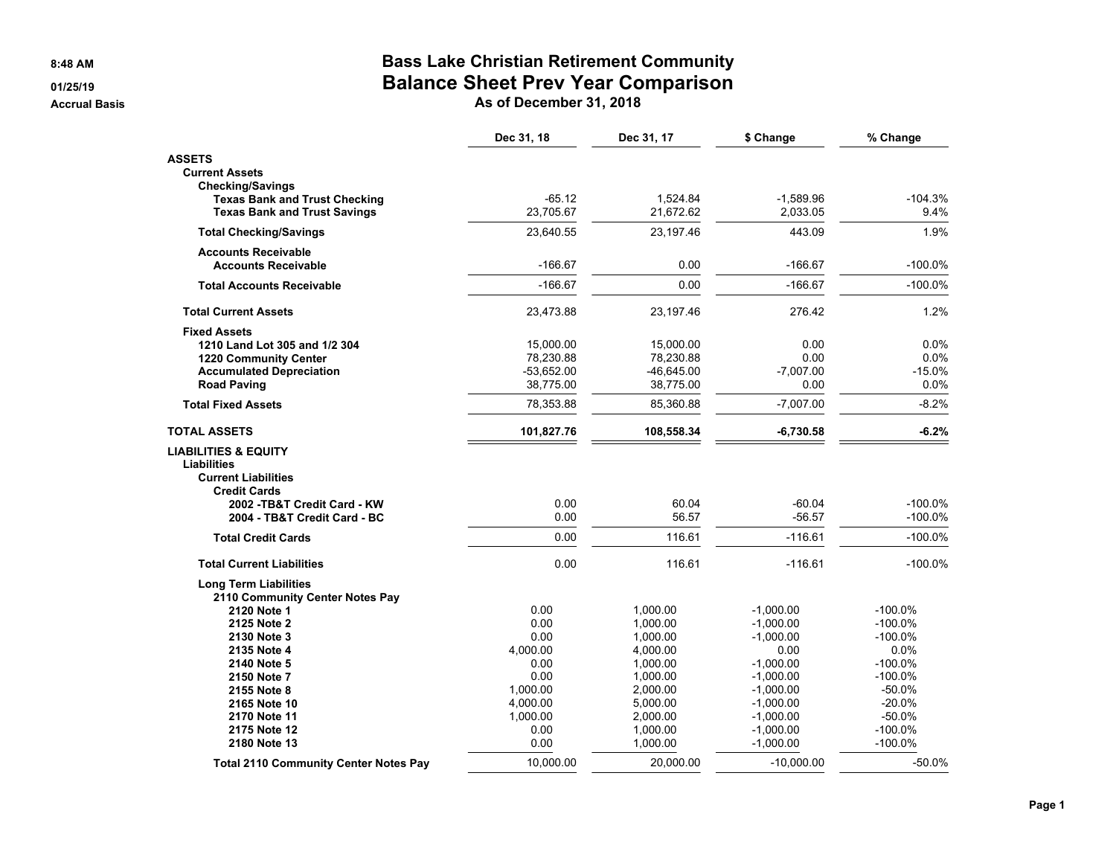**8:48 AM**

#### **01/25/19**

**Accrual Basis**

## **Bass Lake Christian Retirement Community Balance Sheet Prev Year Comparison**

**As of December 31, 2018**

|                                              | Dec 31, 18   | Dec 31, 17   | \$ Change    | % Change   |
|----------------------------------------------|--------------|--------------|--------------|------------|
| <b>ASSETS</b>                                |              |              |              |            |
| <b>Current Assets</b>                        |              |              |              |            |
| <b>Checking/Savings</b>                      |              |              |              |            |
| <b>Texas Bank and Trust Checking</b>         | $-65.12$     | 1.524.84     | $-1.589.96$  | $-104.3%$  |
| <b>Texas Bank and Trust Savings</b>          | 23,705.67    | 21,672.62    | 2,033.05     | 9.4%       |
| <b>Total Checking/Savings</b>                | 23,640.55    | 23,197.46    | 443.09       | 1.9%       |
| <b>Accounts Receivable</b>                   |              |              |              |            |
| <b>Accounts Receivable</b>                   | $-166.67$    | 0.00         | $-166.67$    | $-100.0%$  |
| <b>Total Accounts Receivable</b>             | $-166.67$    | 0.00         | $-166.67$    | $-100.0%$  |
| <b>Total Current Assets</b>                  | 23,473.88    | 23,197.46    | 276.42       | 1.2%       |
| <b>Fixed Assets</b>                          |              |              |              |            |
| 1210 Land Lot 305 and 1/2 304                | 15,000.00    | 15,000.00    | 0.00         | $0.0\%$    |
| <b>1220 Community Center</b>                 | 78,230.88    | 78,230.88    | 0.00         | $0.0\%$    |
| <b>Accumulated Depreciation</b>              | $-53,652.00$ | $-46,645.00$ | $-7,007.00$  | $-15.0%$   |
| <b>Road Paving</b>                           | 38,775.00    | 38,775.00    | 0.00         | 0.0%       |
| <b>Total Fixed Assets</b>                    | 78,353.88    | 85,360.88    | $-7,007.00$  | $-8.2%$    |
| <b>TOTAL ASSETS</b>                          | 101,827.76   | 108,558.34   | $-6,730.58$  | $-6.2%$    |
| <b>LIABILITIES &amp; EQUITY</b>              |              |              |              |            |
| <b>Liabilities</b>                           |              |              |              |            |
| <b>Current Liabilities</b>                   |              |              |              |            |
| <b>Credit Cards</b>                          |              |              |              |            |
| 2002 - TB&T Credit Card - KW                 | 0.00         | 60.04        | $-60.04$     | $-100.0%$  |
| 2004 - TB&T Credit Card - BC                 | 0.00         | 56.57        | $-56.57$     | $-100.0%$  |
| <b>Total Credit Cards</b>                    | 0.00         | 116.61       | $-116.61$    | $-100.0%$  |
| <b>Total Current Liabilities</b>             | 0.00         | 116.61       | $-116.61$    | $-100.0%$  |
| <b>Long Term Liabilities</b>                 |              |              |              |            |
| 2110 Community Center Notes Pay              |              |              |              |            |
| 2120 Note 1                                  | 0.00         | 1,000.00     | $-1,000.00$  | $-100.0\%$ |
| 2125 Note 2                                  | 0.00         | 1,000.00     | $-1,000.00$  | $-100.0\%$ |
| 2130 Note 3                                  | 0.00         | 1,000.00     | $-1,000.00$  | $-100.0\%$ |
| 2135 Note 4                                  | 4,000.00     | 4,000.00     | 0.00         | 0.0%       |
| 2140 Note 5                                  | 0.00         | 1,000.00     | $-1,000.00$  | $-100.0\%$ |
| 2150 Note 7                                  | 0.00         | 1,000.00     | $-1,000.00$  | $-100.0\%$ |
| 2155 Note 8                                  | 1,000.00     | 2,000.00     | $-1,000.00$  | $-50.0%$   |
| 2165 Note 10                                 | 4,000.00     | 5,000.00     | $-1,000.00$  | $-20.0%$   |
| 2170 Note 11                                 | 1,000.00     | 2,000.00     | $-1,000.00$  | $-50.0%$   |
| 2175 Note 12                                 | 0.00         | 1,000.00     | $-1,000.00$  | $-100.0%$  |
| 2180 Note 13                                 | 0.00         | 1,000.00     | $-1,000.00$  | $-100.0%$  |
| <b>Total 2110 Community Center Notes Pay</b> | 10,000.00    | 20.000.00    | $-10,000.00$ | $-50.0%$   |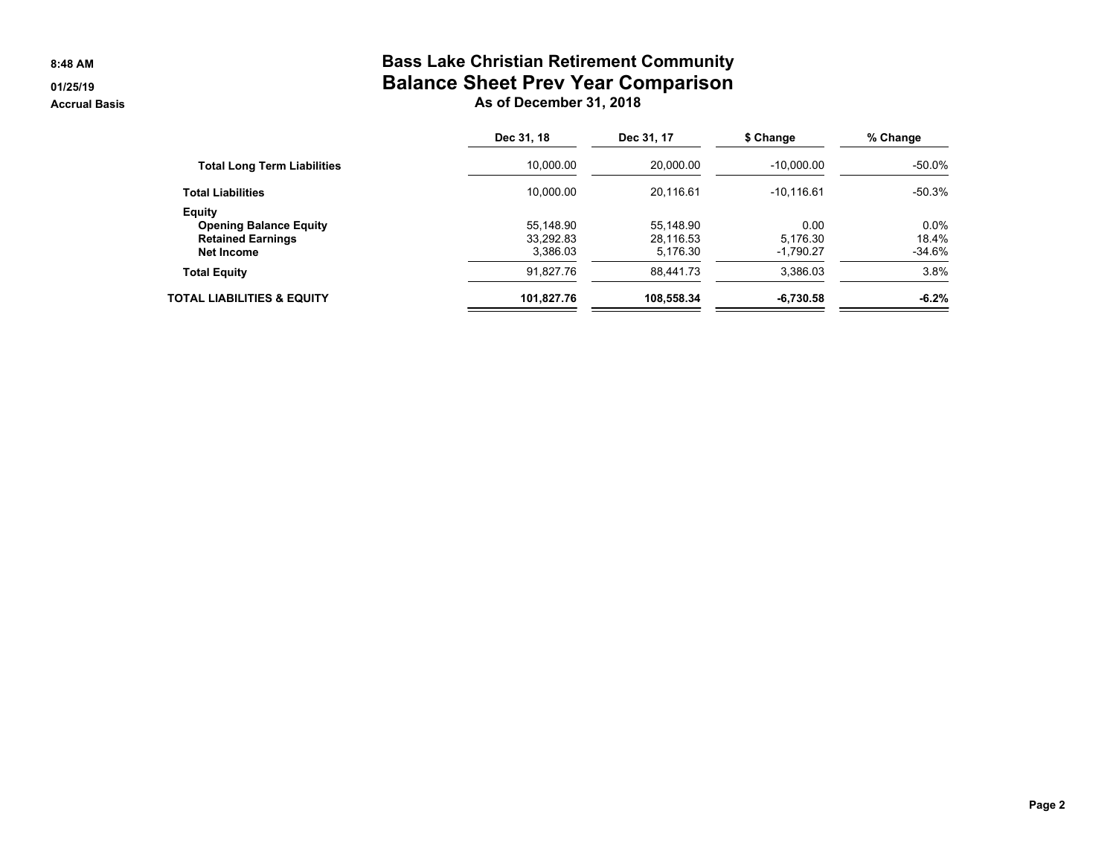#### **8:48 AM**

### **01/25/19**

**Accrual Basis**

## **Bass Lake Christian Retirement Community Balance Sheet Prev Year Comparison As of December 31, 2018**

|                                    | Dec 31, 18 | Dec 31, 17 | \$ Change    | % Change |
|------------------------------------|------------|------------|--------------|----------|
| <b>Total Long Term Liabilities</b> | 10.000.00  | 20,000.00  | $-10,000.00$ | $-50.0%$ |
| <b>Total Liabilities</b>           | 10.000.00  | 20,116.61  | $-10,116.61$ | $-50.3%$ |
| <b>Equity</b>                      |            |            |              |          |
| <b>Opening Balance Equity</b>      | 55.148.90  | 55.148.90  | 0.00         | 0.0%     |
| <b>Retained Earnings</b>           | 33,292.83  | 28,116.53  | 5,176.30     | 18.4%    |
| Net Income                         | 3.386.03   | 5,176.30   | $-1,790.27$  | $-34.6%$ |
| <b>Total Equity</b>                | 91.827.76  | 88.441.73  | 3,386.03     | 3.8%     |
| TOTAL LIABILITIES & EQUITY         | 101,827.76 | 108,558.34 | $-6,730.58$  | $-6.2%$  |
|                                    |            |            |              |          |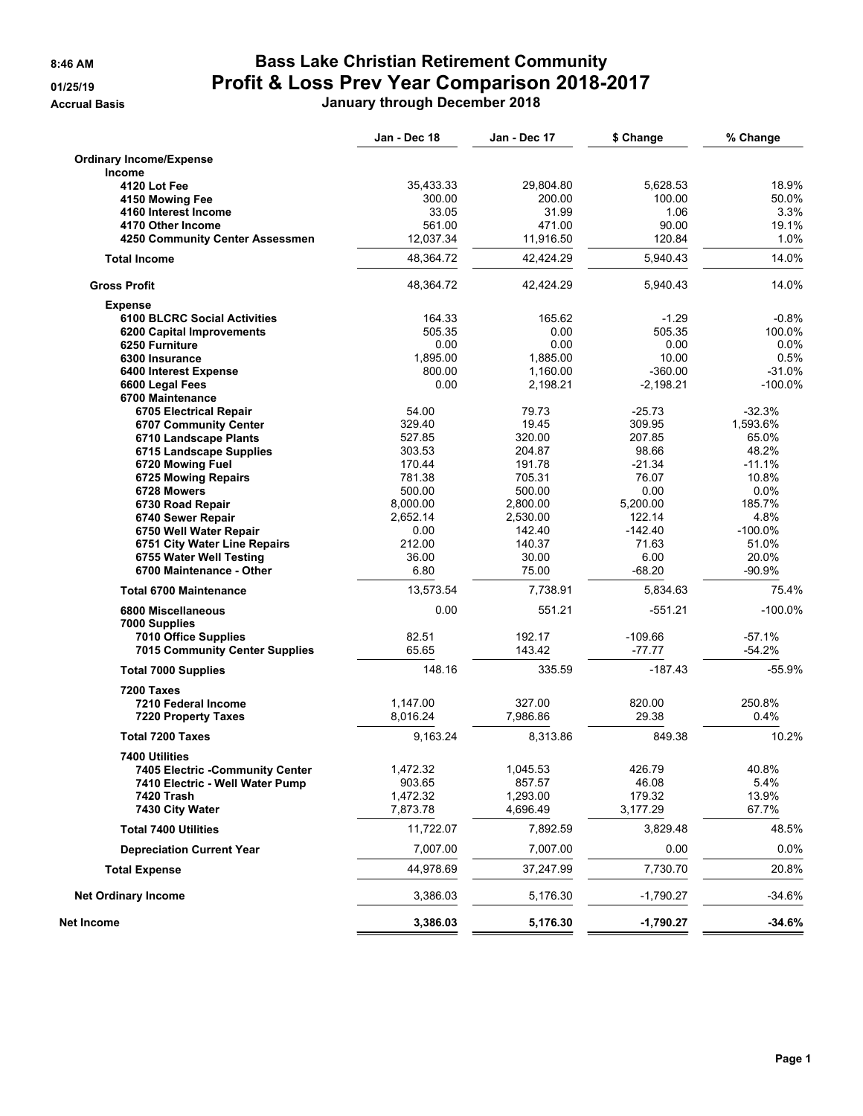# **8:46 AM Bass Lake Christian Retirement Community 01/25/19 Profit & Loss Prev Year Comparison 2018-2017**

**Accrual Basis January through December 2018**

|                                       | Jan - Dec 18 | Jan - Dec 17 | \$ Change   | % Change   |
|---------------------------------------|--------------|--------------|-------------|------------|
| <b>Ordinary Income/Expense</b>        |              |              |             |            |
| <b>Income</b>                         |              |              |             |            |
| 4120 Lot Fee                          | 35,433.33    | 29,804.80    | 5,628.53    | 18.9%      |
| 4150 Mowing Fee                       | 300.00       | 200.00       | 100.00      | 50.0%      |
| 4160 Interest Income                  | 33.05        | 31.99        | 1.06        | 3.3%       |
| 4170 Other Income                     | 561.00       | 471.00       | 90.00       | 19.1%      |
| 4250 Community Center Assessmen       | 12,037.34    | 11,916.50    | 120.84      | 1.0%       |
| <b>Total Income</b>                   | 48,364.72    | 42,424.29    | 5,940.43    | 14.0%      |
| <b>Gross Profit</b>                   | 48,364.72    | 42,424.29    | 5,940.43    | 14.0%      |
| <b>Expense</b>                        |              |              |             |            |
| <b>6100 BLCRC Social Activities</b>   | 164.33       | 165.62       | $-1.29$     | $-0.8%$    |
| 6200 Capital Improvements             | 505.35       | 0.00         | 505.35      | 100.0%     |
| 6250 Furniture                        | 0.00         | 0.00         | 0.00        | 0.0%       |
| 6300 Insurance                        | 1,895.00     | 1,885.00     | 10.00       | 0.5%       |
|                                       | 800.00       | 1,160.00     | $-360.00$   | $-31.0%$   |
| 6400 Interest Expense                 |              |              |             |            |
| 6600 Legal Fees                       | 0.00         | 2,198.21     | $-2,198.21$ | $-100.0\%$ |
| 6700 Maintenance                      |              |              |             |            |
| 6705 Electrical Repair                | 54.00        | 79.73        | $-25.73$    | $-32.3%$   |
| 6707 Community Center                 | 329.40       | 19.45        | 309.95      | 1,593.6%   |
| 6710 Landscape Plants                 | 527.85       | 320.00       | 207.85      | 65.0%      |
| 6715 Landscape Supplies               | 303.53       | 204.87       | 98.66       | 48.2%      |
| 6720 Mowing Fuel                      | 170.44       | 191.78       | $-21.34$    | $-11.1%$   |
| 6725 Mowing Repairs                   | 781.38       | 705.31       | 76.07       | 10.8%      |
| 6728 Mowers                           | 500.00       | 500.00       | 0.00        | $0.0\%$    |
| 6730 Road Repair                      | 8,000.00     | 2,800.00     | 5,200.00    | 185.7%     |
| 6740 Sewer Repair                     | 2,652.14     | 2,530.00     | 122.14      | 4.8%       |
| 6750 Well Water Repair                | 0.00         | 142.40       | $-142.40$   | $-100.0\%$ |
| 6751 City Water Line Repairs          | 212.00       | 140.37       | 71.63       | 51.0%      |
| 6755 Water Well Testing               | 36.00        | 30.00        | 6.00        | 20.0%      |
| 6700 Maintenance - Other              | 6.80         | 75.00        | $-68.20$    | -90.9%     |
| <b>Total 6700 Maintenance</b>         | 13,573.54    | 7,738.91     | 5,834.63    | 75.4%      |
| 6800 Miscellaneous                    | 0.00         | 551.21       | $-551.21$   | $-100.0%$  |
| 7000 Supplies                         |              |              |             |            |
| 7010 Office Supplies                  | 82.51        | 192.17       | $-109.66$   | $-57.1%$   |
| <b>7015 Community Center Supplies</b> | 65.65        | 143.42       | -77.77      | -54.2%     |
| <b>Total 7000 Supplies</b>            | 148.16       | 335.59       | $-187.43$   | $-55.9%$   |
| 7200 Taxes                            |              |              |             |            |
| 7210 Federal Income                   | 1,147.00     | 327.00       | 820.00      | 250.8%     |
| <b>7220 Property Taxes</b>            | 8,016.24     | 7,986.86     | 29.38       | 0.4%       |
| <b>Total 7200 Taxes</b>               | 9,163.24     | 8,313.86     | 849.38      | 10.2%      |
| 7400 Utilities                        |              |              |             |            |
| 7405 Electric -Community Center       | 1,472.32     | 1,045.53     | 426.79      | 40.8%      |
| 7410 Electric - Well Water Pump       | 903.65       | 857.57       | 46.08       | 5.4%       |
| 7420 Trash                            | 1,472.32     | 1,293.00     | 179.32      | 13.9%      |
| 7430 City Water                       | 7,873.78     | 4,696.49     | 3,177.29    | 67.7%      |
| <b>Total 7400 Utilities</b>           | 11,722.07    | 7,892.59     | 3,829.48    | 48.5%      |
| <b>Depreciation Current Year</b>      | 7,007.00     | 7,007.00     | 0.00        | 0.0%       |
| <b>Total Expense</b>                  | 44,978.69    | 37,247.99    | 7,730.70    | 20.8%      |
| <b>Net Ordinary Income</b>            | 3,386.03     | 5,176.30     | $-1,790.27$ | $-34.6%$   |
| Net Income                            | 3,386.03     | 5,176.30     | $-1,790.27$ | $-34.6%$   |
|                                       |              |              |             |            |